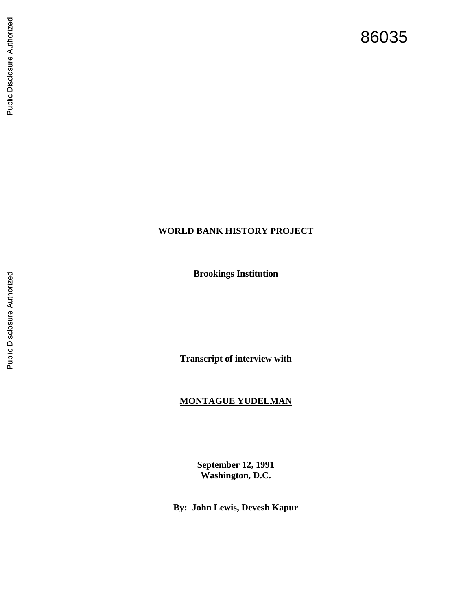# Public Disclosure Authorized Public Disclosure Authorized

# **WORLD BANK HISTORY PROJECT**

**Brookings Institution**

**Transcript of interview with**

#### **MONTAGUE YUDELMAN**

**September 12, 1991 Washington, D.C.** 

**By: John Lewis, Devesh Kapur**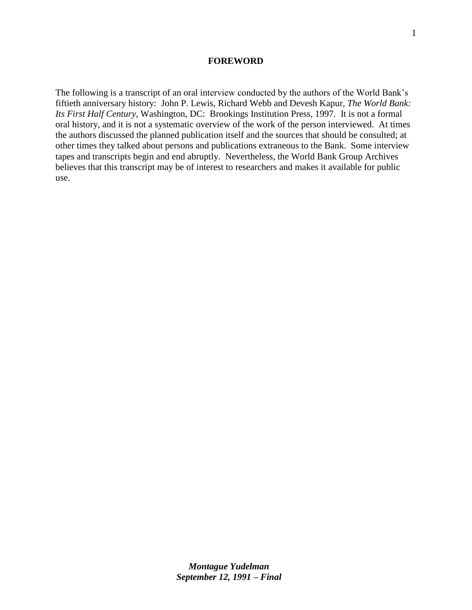#### **FOREWORD**

The following is a transcript of an oral interview conducted by the authors of the World Bank's fiftieth anniversary history: John P. Lewis, Richard Webb and Devesh Kapur, *The World Bank: Its First Half Century,* Washington, DC: Brookings Institution Press, 1997*.* It is not a formal oral history, and it is not a systematic overview of the work of the person interviewed. At times the authors discussed the planned publication itself and the sources that should be consulted; at other times they talked about persons and publications extraneous to the Bank. Some interview tapes and transcripts begin and end abruptly. Nevertheless, the World Bank Group Archives believes that this transcript may be of interest to researchers and makes it available for public use.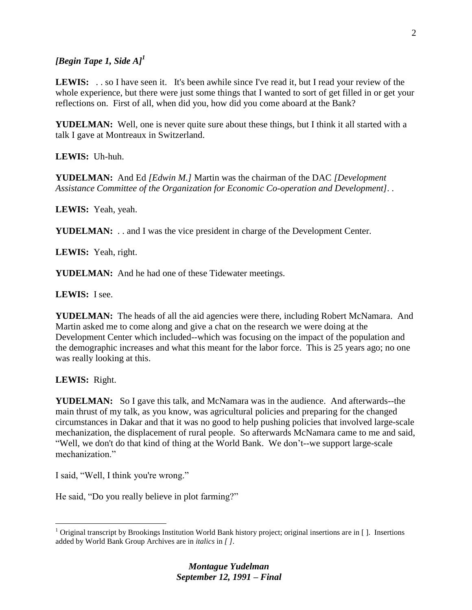# *[Begin Tape 1, Side A]<sup>1</sup>*

**LEWIS:** . . so I have seen it. It's been awhile since I've read it, but I read your review of the whole experience, but there were just some things that I wanted to sort of get filled in or get your reflections on. First of all, when did you, how did you come aboard at the Bank?

**YUDELMAN:** Well, one is never quite sure about these things, but I think it all started with a talk I gave at Montreaux in Switzerland.

**LEWIS:** Uh-huh.

**YUDELMAN:** And Ed *[Edwin M.]* Martin was the chairman of the DAC *[Development Assistance Committee of the Organization for Economic Co-operation and Development]. .*

**LEWIS:** Yeah, yeah.

**YUDELMAN:** . . and I was the vice president in charge of the Development Center.

**LEWIS:** Yeah, right.

**YUDELMAN:** And he had one of these Tidewater meetings.

**LEWIS:** I see.

**YUDELMAN:** The heads of all the aid agencies were there, including Robert McNamara. And Martin asked me to come along and give a chat on the research we were doing at the Development Center which included--which was focusing on the impact of the population and the demographic increases and what this meant for the labor force. This is 25 years ago; no one was really looking at this.

**LEWIS:** Right.

 $\overline{a}$ 

**YUDELMAN:** So I gave this talk, and McNamara was in the audience. And afterwards--the main thrust of my talk, as you know, was agricultural policies and preparing for the changed circumstances in Dakar and that it was no good to help pushing policies that involved large-scale mechanization, the displacement of rural people. So afterwards McNamara came to me and said, "Well, we don't do that kind of thing at the World Bank. We don't--we support large-scale mechanization."

I said, "Well, I think you're wrong."

He said, "Do you really believe in plot farming?"

<sup>&</sup>lt;sup>1</sup> Original transcript by Brookings Institution World Bank history project; original insertions are in []. Insertions added by World Bank Group Archives are in *italics* in *[ ]*.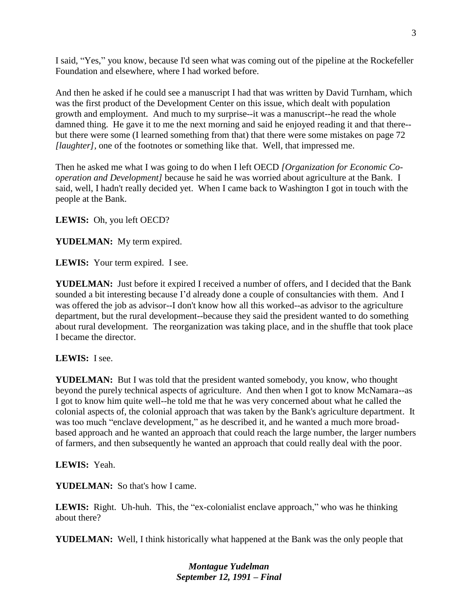I said, "Yes," you know, because I'd seen what was coming out of the pipeline at the Rockefeller Foundation and elsewhere, where I had worked before.

And then he asked if he could see a manuscript I had that was written by David Turnham, which was the first product of the Development Center on this issue, which dealt with population growth and employment. And much to my surprise--it was a manuscript--he read the whole damned thing. He gave it to me the next morning and said he enjoyed reading it and that there- but there were some (I learned something from that) that there were some mistakes on page 72 *[laughter]*, one of the footnotes or something like that. Well, that impressed me.

Then he asked me what I was going to do when I left OECD *[Organization for Economic Cooperation and Development]* because he said he was worried about agriculture at the Bank. I said, well, I hadn't really decided yet. When I came back to Washington I got in touch with the people at the Bank.

**LEWIS:** Oh, you left OECD?

**YUDELMAN:** My term expired.

**LEWIS:** Your term expired. I see.

**YUDELMAN:** Just before it expired I received a number of offers, and I decided that the Bank sounded a bit interesting because I'd already done a couple of consultancies with them. And I was offered the job as advisor--I don't know how all this worked--as advisor to the agriculture department, but the rural development--because they said the president wanted to do something about rural development. The reorganization was taking place, and in the shuffle that took place I became the director.

**LEWIS:** I see.

**YUDELMAN:** But I was told that the president wanted somebody, you know, who thought beyond the purely technical aspects of agriculture. And then when I got to know McNamara--as I got to know him quite well--he told me that he was very concerned about what he called the colonial aspects of, the colonial approach that was taken by the Bank's agriculture department. It was too much "enclave development," as he described it, and he wanted a much more broadbased approach and he wanted an approach that could reach the large number, the larger numbers of farmers, and then subsequently he wanted an approach that could really deal with the poor.

**LEWIS:** Yeah.

**YUDELMAN:** So that's how I came.

**LEWIS:** Right. Uh-huh. This, the "ex-colonialist enclave approach," who was he thinking about there?

**YUDELMAN:** Well, I think historically what happened at the Bank was the only people that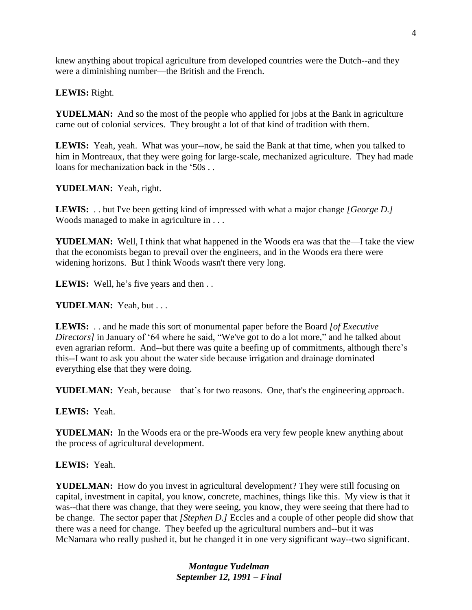knew anything about tropical agriculture from developed countries were the Dutch--and they were a diminishing number—the British and the French.

**LEWIS:** Right.

**YUDELMAN:** And so the most of the people who applied for jobs at the Bank in agriculture came out of colonial services. They brought a lot of that kind of tradition with them.

**LEWIS:** Yeah, yeah. What was your--now, he said the Bank at that time, when you talked to him in Montreaux, that they were going for large-scale, mechanized agriculture. They had made loans for mechanization back in the '50s . .

**YUDELMAN:** Yeah, right.

**LEWIS:** . . but I've been getting kind of impressed with what a major change *[George D.]*  Woods managed to make in agriculture in . . .

**YUDELMAN:** Well, I think that what happened in the Woods era was that the—I take the view that the economists began to prevail over the engineers, and in the Woods era there were widening horizons. But I think Woods wasn't there very long.

LEWIS: Well, he's five years and then . .

**YUDELMAN:** Yeah, but . . .

**LEWIS:** . . and he made this sort of monumental paper before the Board *[of Executive Directors]* in January of '64 where he said, "We've got to do a lot more," and he talked about even agrarian reform. And--but there was quite a beefing up of commitments, although there's this--I want to ask you about the water side because irrigation and drainage dominated everything else that they were doing.

**YUDELMAN:** Yeah, because—that's for two reasons. One, that's the engineering approach.

**LEWIS:** Yeah.

**YUDELMAN:** In the Woods era or the pre-Woods era very few people knew anything about the process of agricultural development.

**LEWIS:** Yeah.

**YUDELMAN:** How do you invest in agricultural development? They were still focusing on capital, investment in capital, you know, concrete, machines, things like this. My view is that it was--that there was change, that they were seeing, you know, they were seeing that there had to be change. The sector paper that *[Stephen D.]* Eccles and a couple of other people did show that there was a need for change. They beefed up the agricultural numbers and--but it was McNamara who really pushed it, but he changed it in one very significant way--two significant.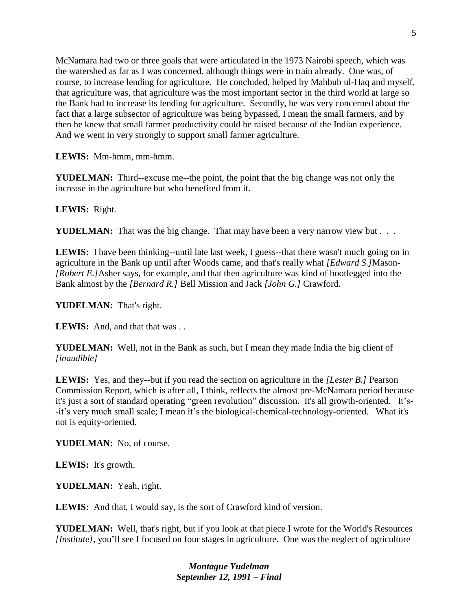McNamara had two or three goals that were articulated in the 1973 Nairobi speech, which was the watershed as far as I was concerned, although things were in train already. One was, of course, to increase lending for agriculture. He concluded, helped by Mahbub ul-Haq and myself, that agriculture was, that agriculture was the most important sector in the third world at large so the Bank had to increase its lending for agriculture. Secondly, he was very concerned about the fact that a large subsector of agriculture was being bypassed, I mean the small farmers, and by then he knew that small farmer productivity could be raised because of the Indian experience. And we went in very strongly to support small farmer agriculture.

**LEWIS:** Mm-hmm, mm-hmm.

**YUDELMAN:** Third--excuse me--the point, the point that the big change was not only the increase in the agriculture but who benefited from it.

**LEWIS:** Right.

**YUDELMAN:** That was the big change. That may have been a very narrow view but . . .

**LEWIS:** I have been thinking--until late last week, I guess--that there wasn't much going on in agriculture in the Bank up until after Woods came, and that's really what *[Edward S.]*Mason- *[Robert E.]*Asher says, for example, and that then agriculture was kind of bootlegged into the Bank almost by the *[Bernard R.]* Bell Mission and Jack *[John G.]* Crawford.

**YUDELMAN:** That's right.

LEWIS: And, and that that was ...

**YUDELMAN:** Well, not in the Bank as such, but I mean they made India the big client of *[inaudible]*

**LEWIS:** Yes, and they--but if you read the section on agriculture in the *[Lester B.]* Pearson Commission Report, which is after all, I think, reflects the almost pre-McNamara period because it's just a sort of standard operating "green revolution" discussion. It's all growth-oriented. It's- -it's very much small scale; I mean it's the biological-chemical-technology-oriented. What it's not is equity-oriented.

**YUDELMAN:** No, of course.

**LEWIS:** It's growth.

**YUDELMAN:** Yeah, right.

**LEWIS:** And that, I would say, is the sort of Crawford kind of version.

**YUDELMAN:** Well, that's right, but if you look at that piece I wrote for the World's Resources *[Institute]*, you'll see I focused on four stages in agriculture. One was the neglect of agriculture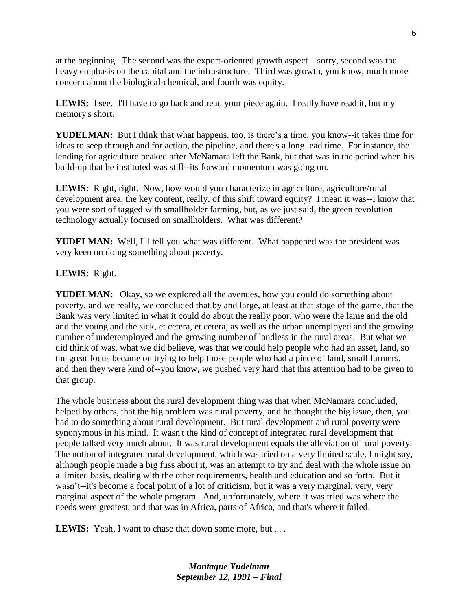at the beginning. The second was the export-oriented growth aspect—sorry, second was the heavy emphasis on the capital and the infrastructure. Third was growth, you know, much more concern about the biological-chemical, and fourth was equity.

**LEWIS:** I see. I'll have to go back and read your piece again. I really have read it, but my memory's short.

**YUDELMAN:** But I think that what happens, too, is there's a time, you know--it takes time for ideas to seep through and for action, the pipeline, and there's a long lead time. For instance, the lending for agriculture peaked after McNamara left the Bank, but that was in the period when his build-up that he instituted was still--its forward momentum was going on.

**LEWIS:** Right, right. Now, how would you characterize in agriculture, agriculture/rural development area, the key content, really, of this shift toward equity? I mean it was--I know that you were sort of tagged with smallholder farming, but, as we just said, the green revolution technology actually focused on smallholders. What was different?

YUDELMAN: Well, I'll tell you what was different. What happened was the president was very keen on doing something about poverty.

## **LEWIS:** Right.

**YUDELMAN:** Okay, so we explored all the avenues, how you could do something about poverty, and we really, we concluded that by and large, at least at that stage of the game, that the Bank was very limited in what it could do about the really poor, who were the lame and the old and the young and the sick, et cetera, et cetera, as well as the urban unemployed and the growing number of underemployed and the growing number of landless in the rural areas. But what we did think of was, what we did believe, was that we could help people who had an asset, land, so the great focus became on trying to help those people who had a piece of land, small farmers, and then they were kind of--you know, we pushed very hard that this attention had to be given to that group.

The whole business about the rural development thing was that when McNamara concluded, helped by others, that the big problem was rural poverty, and he thought the big issue, then, you had to do something about rural development. But rural development and rural poverty were synonymous in his mind. It wasn't the kind of concept of integrated rural development that people talked very much about. It was rural development equals the alleviation of rural poverty. The notion of integrated rural development, which was tried on a very limited scale, I might say, although people made a big fuss about it, was an attempt to try and deal with the whole issue on a limited basis, dealing with the other requirements, health and education and so forth. But it wasn't--it's become a focal point of a lot of criticism, but it was a very marginal, very, very marginal aspect of the whole program. And, unfortunately, where it was tried was where the needs were greatest, and that was in Africa, parts of Africa, and that's where it failed.

**LEWIS:** Yeah, I want to chase that down some more, but . . .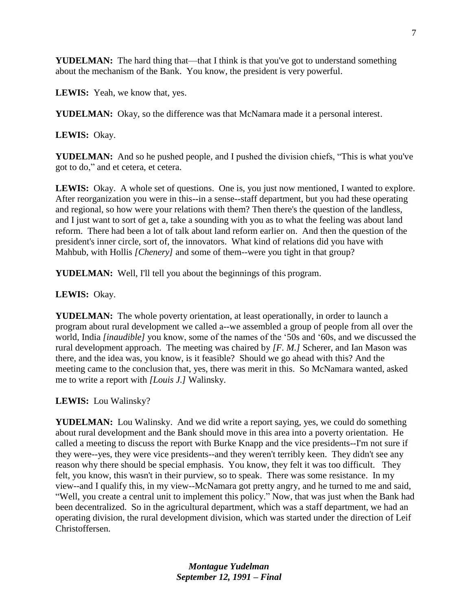YUDELMAN: The hard thing that—that I think is that you've got to understand something about the mechanism of the Bank. You know, the president is very powerful.

**LEWIS:** Yeah, we know that, yes.

**YUDELMAN:** Okay, so the difference was that McNamara made it a personal interest.

**LEWIS:** Okay.

**YUDELMAN:** And so he pushed people, and I pushed the division chiefs, "This is what you've got to do," and et cetera, et cetera.

**LEWIS:** Okay. A whole set of questions. One is, you just now mentioned, I wanted to explore. After reorganization you were in this--in a sense--staff department, but you had these operating and regional, so how were your relations with them? Then there's the question of the landless, and I just want to sort of get a, take a sounding with you as to what the feeling was about land reform. There had been a lot of talk about land reform earlier on. And then the question of the president's inner circle, sort of, the innovators. What kind of relations did you have with Mahbub, with Hollis *[Chenery]* and some of them--were you tight in that group?

**YUDELMAN:** Well, I'll tell you about the beginnings of this program.

#### **LEWIS:** Okay.

**YUDELMAN:** The whole poverty orientation, at least operationally, in order to launch a program about rural development we called a--we assembled a group of people from all over the world, India *[inaudible]* you know, some of the names of the '50s and '60s, and we discussed the rural development approach. The meeting was chaired by *[F. M.]* Scherer, and Ian Mason was there, and the idea was, you know, is it feasible? Should we go ahead with this? And the meeting came to the conclusion that, yes, there was merit in this. So McNamara wanted, asked me to write a report with *[Louis J.]* Walinsky.

**LEWIS:** Lou Walinsky?

**YUDELMAN:** Lou Walinsky. And we did write a report saying, yes, we could do something about rural development and the Bank should move in this area into a poverty orientation. He called a meeting to discuss the report with Burke Knapp and the vice presidents--I'm not sure if they were--yes, they were vice presidents--and they weren't terribly keen. They didn't see any reason why there should be special emphasis. You know, they felt it was too difficult. They felt, you know, this wasn't in their purview, so to speak. There was some resistance. In my view--and I qualify this, in my view--McNamara got pretty angry, and he turned to me and said, "Well, you create a central unit to implement this policy." Now, that was just when the Bank had been decentralized. So in the agricultural department, which was a staff department, we had an operating division, the rural development division, which was started under the direction of Leif Christoffersen.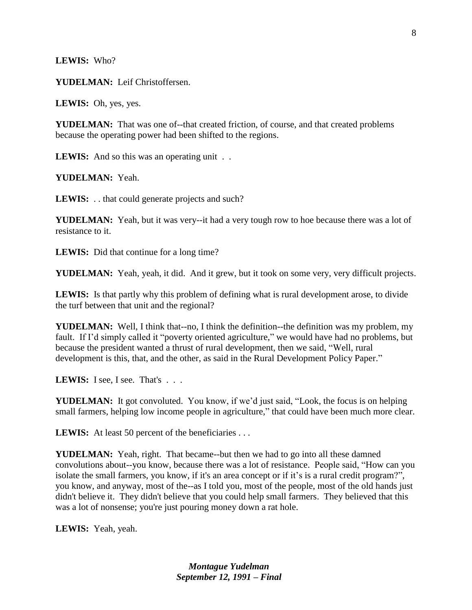**LEWIS:** Who?

**YUDELMAN:** Leif Christoffersen.

**LEWIS:** Oh, yes, yes.

**YUDELMAN:** That was one of--that created friction, of course, and that created problems because the operating power had been shifted to the regions.

**LEWIS:** And so this was an operating unit . .

**YUDELMAN:** Yeah.

**LEWIS:** . . that could generate projects and such?

**YUDELMAN:** Yeah, but it was very--it had a very tough row to hoe because there was a lot of resistance to it.

**LEWIS:** Did that continue for a long time?

**YUDELMAN:** Yeah, yeah, it did. And it grew, but it took on some very, very difficult projects.

**LEWIS:** Is that partly why this problem of defining what is rural development arose, to divide the turf between that unit and the regional?

**YUDELMAN:** Well, I think that--no, I think the definition--the definition was my problem, my fault. If I'd simply called it "poverty oriented agriculture," we would have had no problems, but because the president wanted a thrust of rural development, then we said, "Well, rural development is this, that, and the other, as said in the Rural Development Policy Paper."

LEWIS: I see, I see. That's . . .

**YUDELMAN:** It got convoluted. You know, if we'd just said, "Look, the focus is on helping small farmers, helping low income people in agriculture," that could have been much more clear.

LEWIS: At least 50 percent of the beneficiaries . . .

**YUDELMAN:** Yeah, right. That became--but then we had to go into all these damned convolutions about--you know, because there was a lot of resistance. People said, "How can you isolate the small farmers, you know, if it's an area concept or if it's is a rural credit program?", you know, and anyway, most of the--as I told you, most of the people, most of the old hands just didn't believe it. They didn't believe that you could help small farmers. They believed that this was a lot of nonsense; you're just pouring money down a rat hole.

**LEWIS:** Yeah, yeah.

8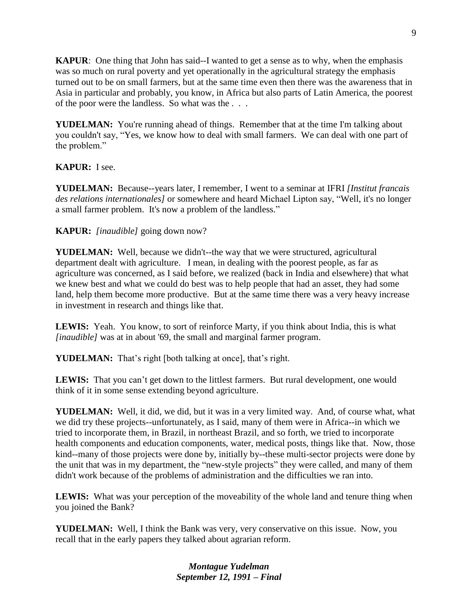**KAPUR**: One thing that John has said--I wanted to get a sense as to why, when the emphasis was so much on rural poverty and yet operationally in the agricultural strategy the emphasis turned out to be on small farmers, but at the same time even then there was the awareness that in Asia in particular and probably, you know, in Africa but also parts of Latin America, the poorest of the poor were the landless. So what was the . . .

**YUDELMAN:** You're running ahead of things. Remember that at the time I'm talking about you couldn't say, "Yes, we know how to deal with small farmers. We can deal with one part of the problem."

# **KAPUR:** I see.

**YUDELMAN:** Because--years later, I remember, I went to a seminar at IFRI *[Institut francais des relations internationales]* or somewhere and heard Michael Lipton say, "Well, it's no longer a small farmer problem. It's now a problem of the landless."

## **KAPUR:** *[inaudible]* going down now?

**YUDELMAN:** Well, because we didn't--the way that we were structured, agricultural department dealt with agriculture. I mean, in dealing with the poorest people, as far as agriculture was concerned, as I said before, we realized (back in India and elsewhere) that what we knew best and what we could do best was to help people that had an asset, they had some land, help them become more productive. But at the same time there was a very heavy increase in investment in research and things like that.

**LEWIS:** Yeah. You know, to sort of reinforce Marty, if you think about India, this is what *[inaudible]* was at in about '69, the small and marginal farmer program.

**YUDELMAN:** That's right [both talking at once], that's right.

LEWIS: That you can't get down to the littlest farmers. But rural development, one would think of it in some sense extending beyond agriculture.

**YUDELMAN:** Well, it did, we did, but it was in a very limited way. And, of course what, what we did try these projects--unfortunately, as I said, many of them were in Africa--in which we tried to incorporate them, in Brazil, in northeast Brazil, and so forth, we tried to incorporate health components and education components, water, medical posts, things like that. Now, those kind--many of those projects were done by, initially by--these multi-sector projects were done by the unit that was in my department, the "new-style projects" they were called, and many of them didn't work because of the problems of administration and the difficulties we ran into.

**LEWIS:** What was your perception of the moveability of the whole land and tenure thing when you joined the Bank?

**YUDELMAN:** Well, I think the Bank was very, very conservative on this issue. Now, you recall that in the early papers they talked about agrarian reform.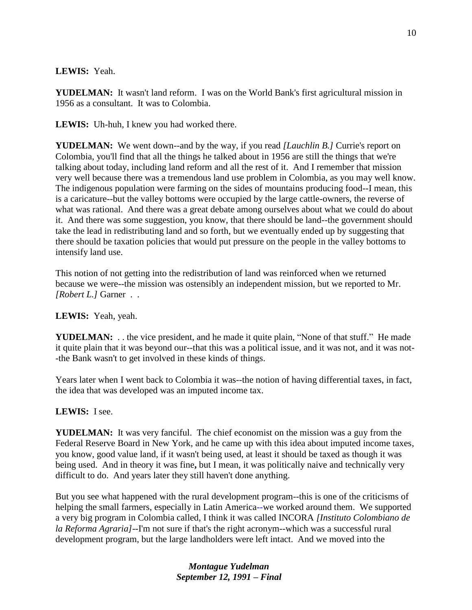#### **LEWIS:** Yeah.

**YUDELMAN:** It wasn't land reform. I was on the World Bank's first agricultural mission in 1956 as a consultant. It was to Colombia.

**LEWIS:** Uh-huh, I knew you had worked there.

**YUDELMAN:** We went down--and by the way, if you read *[Lauchlin B.]* Currie's report on Colombia, you'll find that all the things he talked about in 1956 are still the things that we're talking about today, including land reform and all the rest of it. And I remember that mission very well because there was a tremendous land use problem in Colombia, as you may well know. The indigenous population were farming on the sides of mountains producing food--I mean, this is a caricature--but the valley bottoms were occupied by the large cattle-owners, the reverse of what was rational. And there was a great debate among ourselves about what we could do about it. And there was some suggestion, you know, that there should be land--the government should take the lead in redistributing land and so forth, but we eventually ended up by suggesting that there should be taxation policies that would put pressure on the people in the valley bottoms to intensify land use.

This notion of not getting into the redistribution of land was reinforced when we returned because we were--the mission was ostensibly an independent mission, but we reported to Mr. *[Robert L.]* Garner . .

# **LEWIS:** Yeah, yeah.

**YUDELMAN:** . . the vice president, and he made it quite plain, "None of that stuff." He made it quite plain that it was beyond our--that this was a political issue, and it was not, and it was not- -the Bank wasn't to get involved in these kinds of things.

Years later when I went back to Colombia it was--the notion of having differential taxes, in fact, the idea that was developed was an imputed income tax.

# **LEWIS:** I see.

**YUDELMAN:** It was very fanciful. The chief economist on the mission was a guy from the Federal Reserve Board in New York, and he came up with this idea about imputed income taxes, you know, good value land, if it wasn't being used, at least it should be taxed as though it was being used. And in theory it was fine**,** but I mean, it was politically naive and technically very difficult to do. And years later they still haven't done anything.

But you see what happened with the rural development program--this is one of the criticisms of helping the small farmers, especially in Latin America--we worked around them. We supported a very big program in Colombia called, I think it was called INCORA *[Instituto Colombiano de la Reforma Agraria]*--I'm not sure if that's the right acronym--which was a successful rural development program, but the large landholders were left intact. And we moved into the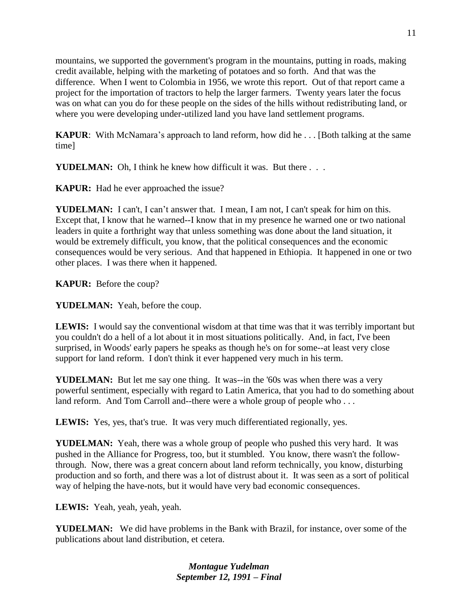mountains, we supported the government's program in the mountains, putting in roads, making credit available, helping with the marketing of potatoes and so forth. And that was the difference. When I went to Colombia in 1956, we wrote this report. Out of that report came a project for the importation of tractors to help the larger farmers. Twenty years later the focus was on what can you do for these people on the sides of the hills without redistributing land, or where you were developing under-utilized land you have land settlement programs.

**KAPUR**: With McNamara's approach to land reform, how did he . . . [Both talking at the same time]

**YUDELMAN:** Oh, I think he knew how difficult it was. But there ...

**KAPUR:** Had he ever approached the issue?

**YUDELMAN:** I can't, I can't answer that. I mean, I am not, I can't speak for him on this. Except that, I know that he warned--I know that in my presence he warned one or two national leaders in quite a forthright way that unless something was done about the land situation, it would be extremely difficult, you know, that the political consequences and the economic consequences would be very serious. And that happened in Ethiopia. It happened in one or two other places. I was there when it happened.

**KAPUR:** Before the coup?

**YUDELMAN:** Yeah, before the coup.

**LEWIS:** I would say the conventional wisdom at that time was that it was terribly important but you couldn't do a hell of a lot about it in most situations politically. And, in fact, I've been surprised, in Woods' early papers he speaks as though he's on for some--at least very close support for land reform. I don't think it ever happened very much in his term.

**YUDELMAN:** But let me say one thing. It was--in the '60s was when there was a very powerful sentiment, especially with regard to Latin America, that you had to do something about land reform. And Tom Carroll and--there were a whole group of people who ...

LEWIS: Yes, yes, that's true. It was very much differentiated regionally, yes.

**YUDELMAN:** Yeah, there was a whole group of people who pushed this very hard. It was pushed in the Alliance for Progress, too, but it stumbled. You know, there wasn't the followthrough. Now, there was a great concern about land reform technically, you know, disturbing production and so forth, and there was a lot of distrust about it. It was seen as a sort of political way of helping the have-nots, but it would have very bad economic consequences.

**LEWIS:** Yeah, yeah, yeah, yeah.

**YUDELMAN:** We did have problems in the Bank with Brazil, for instance, over some of the publications about land distribution, et cetera.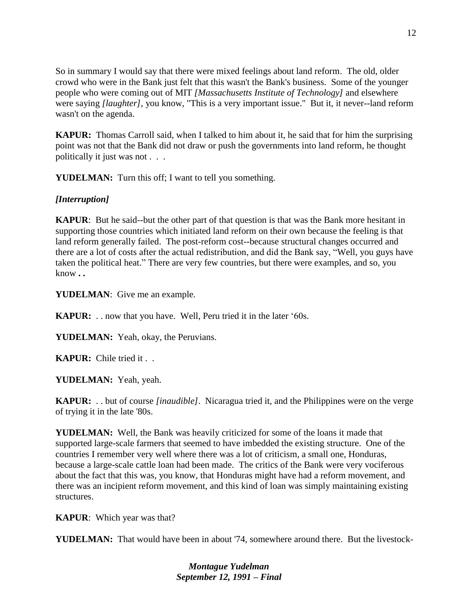So in summary I would say that there were mixed feelings about land reform. The old, older crowd who were in the Bank just felt that this wasn't the Bank's business. Some of the younger people who were coming out of MIT *[Massachusetts Institute of Technology]* and elsewhere were saying *[laughter],* you know, "This is a very important issue." But it, it never--land reform wasn't on the agenda.

**KAPUR:** Thomas Carroll said, when I talked to him about it, he said that for him the surprising point was not that the Bank did not draw or push the governments into land reform, he thought politically it just was not . . .

**YUDELMAN:** Turn this off; I want to tell you something.

# *[Interruption]*

**KAPUR**: But he said--but the other part of that question is that was the Bank more hesitant in supporting those countries which initiated land reform on their own because the feeling is that land reform generally failed. The post-reform cost--because structural changes occurred and there are a lot of costs after the actual redistribution, and did the Bank say, "Well, you guys have taken the political heat." There are very few countries, but there were examples, and so, you know **. .** 

**YUDELMAN**: Give me an example.

**KAPUR:** . . now that you have. Well, Peru tried it in the later '60s.

**YUDELMAN:** Yeah, okay, the Peruvians.

**KAPUR:** Chile tried it . .

**YUDELMAN:** Yeah, yeah.

**KAPUR:** . . but of course *[inaudible]*. Nicaragua tried it, and the Philippines were on the verge of trying it in the late '80s.

**YUDELMAN:** Well, the Bank was heavily criticized for some of the loans it made that supported large-scale farmers that seemed to have imbedded the existing structure. One of the countries I remember very well where there was a lot of criticism, a small one, Honduras, because a large-scale cattle loan had been made. The critics of the Bank were very vociferous about the fact that this was, you know, that Honduras might have had a reform movement, and there was an incipient reform movement, and this kind of loan was simply maintaining existing structures.

**KAPUR**: Which year was that?

**YUDELMAN:** That would have been in about '74, somewhere around there. But the livestock-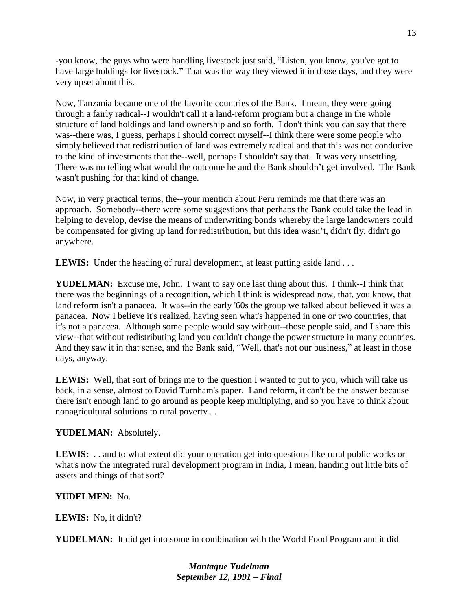-you know, the guys who were handling livestock just said, "Listen, you know, you've got to have large holdings for livestock." That was the way they viewed it in those days, and they were very upset about this.

Now, Tanzania became one of the favorite countries of the Bank. I mean, they were going through a fairly radical--I wouldn't call it a land-reform program but a change in the whole structure of land holdings and land ownership and so forth. I don't think you can say that there was--there was, I guess, perhaps I should correct myself--I think there were some people who simply believed that redistribution of land was extremely radical and that this was not conducive to the kind of investments that the--well, perhaps I shouldn't say that. It was very unsettling. There was no telling what would the outcome be and the Bank shouldn't get involved. The Bank wasn't pushing for that kind of change.

Now, in very practical terms, the--your mention about Peru reminds me that there was an approach. Somebody--there were some suggestions that perhaps the Bank could take the lead in helping to develop, devise the means of underwriting bonds whereby the large landowners could be compensated for giving up land for redistribution, but this idea wasn't, didn't fly, didn't go anywhere.

**LEWIS:** Under the heading of rural development, at least putting aside land . . .

**YUDELMAN:** Excuse me, John. I want to say one last thing about this. I think--I think that there was the beginnings of a recognition, which I think is widespread now, that, you know, that land reform isn't a panacea. It was--in the early '60s the group we talked about believed it was a panacea. Now I believe it's realized, having seen what's happened in one or two countries, that it's not a panacea. Although some people would say without--those people said, and I share this view--that without redistributing land you couldn't change the power structure in many countries. And they saw it in that sense, and the Bank said, "Well, that's not our business," at least in those days, anyway.

**LEWIS:** Well, that sort of brings me to the question I wanted to put to you, which will take us back, in a sense, almost to David Turnham's paper. Land reform, it can't be the answer because there isn't enough land to go around as people keep multiplying, and so you have to think about nonagricultural solutions to rural poverty . .

**YUDELMAN:** Absolutely.

**LEWIS:** . . and to what extent did your operation get into questions like rural public works or what's now the integrated rural development program in India, I mean, handing out little bits of assets and things of that sort?

# **YUDELMEN:** No.

**LEWIS:** No, it didn't?

**YUDELMAN:** It did get into some in combination with the World Food Program and it did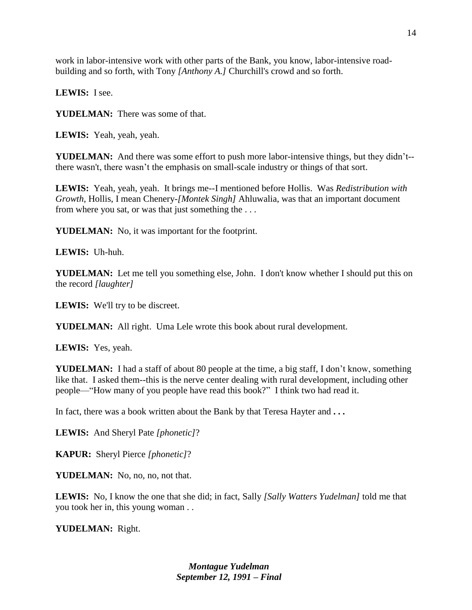work in labor-intensive work with other parts of the Bank, you know, labor-intensive roadbuilding and so forth, with Tony *[Anthony A.]* Churchill's crowd and so forth.

**LEWIS:** I see.

**YUDELMAN:** There was some of that.

**LEWIS:** Yeah, yeah, yeah.

**YUDELMAN:** And there was some effort to push more labor-intensive things, but they didn't- there wasn't, there wasn't the emphasis on small-scale industry or things of that sort.

**LEWIS:** Yeah, yeah, yeah. It brings me--I mentioned before Hollis. Was *Redistribution with Growth,* Hollis, I mean Chenery-*[Montek Singh]* Ahluwalia, was that an important document from where you sat, or was that just something the . . .

**YUDELMAN:** No, it was important for the footprint.

**LEWIS:** Uh-huh.

YUDELMAN: Let me tell you something else, John. I don't know whether I should put this on the record *[laughter]*

**LEWIS:** We'll try to be discreet.

**YUDELMAN:** All right. Uma Lele wrote this book about rural development.

**LEWIS:** Yes, yeah.

**YUDELMAN:** I had a staff of about 80 people at the time, a big staff, I don't know, something like that. I asked them--this is the nerve center dealing with rural development, including other people—"How many of you people have read this book?" I think two had read it.

In fact, there was a book written about the Bank by that Teresa Hayter and **. . .** 

**LEWIS:** And Sheryl Pate *[phonetic]*?

**KAPUR:** Sheryl Pierce *[phonetic]*?

**YUDELMAN:** No, no, no, not that.

**LEWIS:** No, I know the one that she did; in fact, Sally *[Sally Watters Yudelman]* told me that you took her in, this young woman . .

**YUDELMAN:** Right.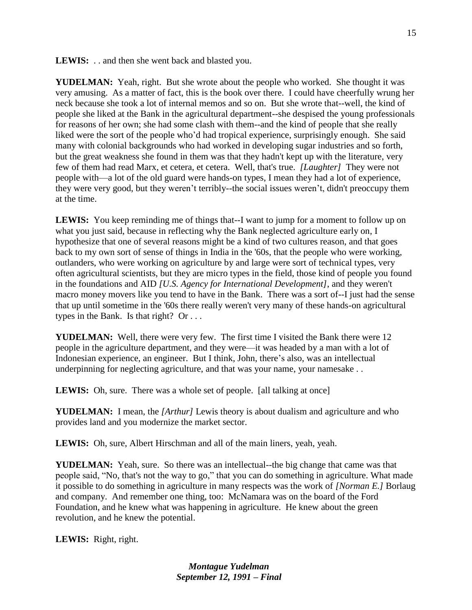**LEWIS:** . . and then she went back and blasted you.

**YUDELMAN:** Yeah, right. But she wrote about the people who worked. She thought it was very amusing. As a matter of fact, this is the book over there. I could have cheerfully wrung her neck because she took a lot of internal memos and so on. But she wrote that--well, the kind of people she liked at the Bank in the agricultural department--she despised the young professionals for reasons of her own; she had some clash with them--and the kind of people that she really liked were the sort of the people who'd had tropical experience, surprisingly enough. She said many with colonial backgrounds who had worked in developing sugar industries and so forth, but the great weakness she found in them was that they hadn't kept up with the literature, very few of them had read Marx, et cetera, et cetera. Well, that's true. *[Laughter]* They were not people with—a lot of the old guard were hands-on types, I mean they had a lot of experience, they were very good, but they weren't terribly--the social issues weren't, didn't preoccupy them at the time.

**LEWIS:** You keep reminding me of things that--I want to jump for a moment to follow up on what you just said, because in reflecting why the Bank neglected agriculture early on, I hypothesize that one of several reasons might be a kind of two cultures reason, and that goes back to my own sort of sense of things in India in the '60s, that the people who were working, outlanders, who were working on agriculture by and large were sort of technical types, very often agricultural scientists, but they are micro types in the field, those kind of people you found in the foundations and AID *[U.S. Agency for International Development]*, and they weren't macro money movers like you tend to have in the Bank. There was a sort of--I just had the sense that up until sometime in the '60s there really weren't very many of these hands-on agricultural types in the Bank. Is that right? Or . . .

**YUDELMAN:** Well, there were very few. The first time I visited the Bank there were 12 people in the agriculture department, and they were—it was headed by a man with a lot of Indonesian experience, an engineer. But I think, John, there's also, was an intellectual underpinning for neglecting agriculture, and that was your name, your namesake ...

**LEWIS:** Oh, sure. There was a whole set of people. [all talking at once]

**YUDELMAN:** I mean, the *[Arthur]* Lewis theory is about dualism and agriculture and who provides land and you modernize the market sector.

**LEWIS:** Oh, sure, Albert Hirschman and all of the main liners, yeah, yeah.

**YUDELMAN:** Yeah, sure. So there was an intellectual--the big change that came was that people said, "No, that's not the way to go," that you can do something in agriculture. What made it possible to do something in agriculture in many respects was the work of *[Norman E.]* Borlaug and company. And remember one thing, too: McNamara was on the board of the Ford Foundation, and he knew what was happening in agriculture. He knew about the green revolution, and he knew the potential.

**LEWIS:** Right, right.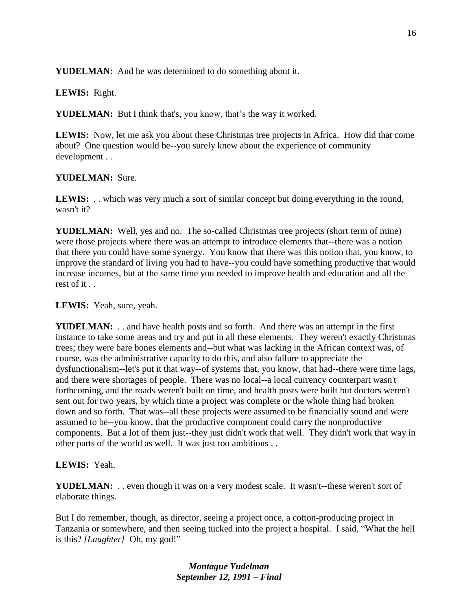**YUDELMAN:** And he was determined to do something about it.

#### **LEWIS:** Right.

**YUDELMAN:** But I think that's, you know, that's the way it worked.

**LEWIS:** Now, let me ask you about these Christmas tree projects in Africa. How did that come about? One question would be--you surely knew about the experience of community development . .

## **YUDELMAN:** Sure.

**LEWIS:** . . which was very much a sort of similar concept but doing everything in the round, wasn't it?

**YUDELMAN:** Well, yes and no. The so-called Christmas tree projects (short term of mine) were those projects where there was an attempt to introduce elements that--there was a notion that there you could have some synergy. You know that there was this notion that, you know, to improve the standard of living you had to have--you could have something productive that would increase incomes, but at the same time you needed to improve health and education and all the rest of it . .

#### **LEWIS:** Yeah, sure, yeah.

**YUDELMAN:** . . and have health posts and so forth. And there was an attempt in the first instance to take some areas and try and put in all these elements. They weren't exactly Christmas trees; they were bare bones elements and--but what was lacking in the African context was, of course, was the administrative capacity to do this, and also failure to appreciate the dysfunctionalism--let's put it that way--of systems that, you know, that had--there were time lags, and there were shortages of people. There was no local--a local currency counterpart wasn't forthcoming, and the roads weren't built on time, and health posts were built but doctors weren't sent out for two years, by which time a project was complete or the whole thing had broken down and so forth. That was--all these projects were assumed to be financially sound and were assumed to be--you know, that the productive component could carry the nonproductive components. But a lot of them just--they just didn't work that well. They didn't work that way in other parts of the world as well. It was just too ambitious . .

#### **LEWIS:** Yeah.

**YUDELMAN:** . . even though it was on a very modest scale. It wasn't--these weren't sort of elaborate things.

But I do remember, though, as director, seeing a project once, a cotton-producing project in Tanzania or somewhere, and then seeing tucked into the project a hospital. I said, "What the hell is this? *[Laughter]* Oh, my god!"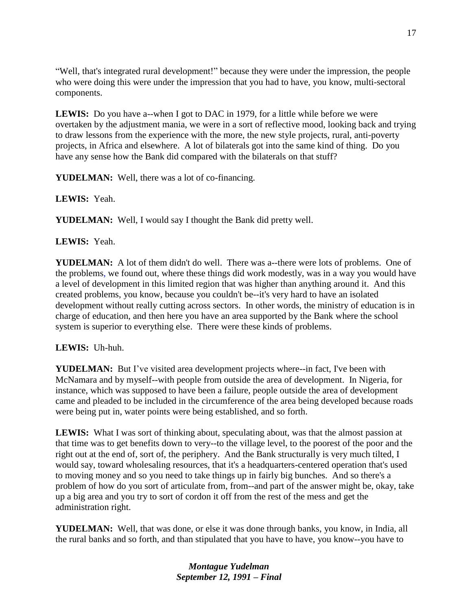"Well, that's integrated rural development!" because they were under the impression, the people who were doing this were under the impression that you had to have, you know, multi-sectoral components.

**LEWIS:** Do you have a--when I got to DAC in 1979, for a little while before we were overtaken by the adjustment mania, we were in a sort of reflective mood, looking back and trying to draw lessons from the experience with the more, the new style projects, rural, anti-poverty projects, in Africa and elsewhere. A lot of bilaterals got into the same kind of thing. Do you have any sense how the Bank did compared with the bilaterals on that stuff?

**YUDELMAN:** Well, there was a lot of co-financing.

**LEWIS:** Yeah.

**YUDELMAN:** Well, I would say I thought the Bank did pretty well.

## **LEWIS:** Yeah.

**YUDELMAN:** A lot of them didn't do well. There was a--there were lots of problems. One of the problems, we found out, where these things did work modestly, was in a way you would have a level of development in this limited region that was higher than anything around it. And this created problems, you know, because you couldn't be--it's very hard to have an isolated development without really cutting across sectors. In other words, the ministry of education is in charge of education, and then here you have an area supported by the Bank where the school system is superior to everything else. There were these kinds of problems.

#### **LEWIS:** Uh-huh.

**YUDELMAN:** But I've visited area development projects where--in fact, I've been with McNamara and by myself--with people from outside the area of development. In Nigeria, for instance, which was supposed to have been a failure, people outside the area of development came and pleaded to be included in the circumference of the area being developed because roads were being put in, water points were being established, and so forth.

**LEWIS:** What I was sort of thinking about, speculating about, was that the almost passion at that time was to get benefits down to very--to the village level, to the poorest of the poor and the right out at the end of, sort of, the periphery. And the Bank structurally is very much tilted, I would say, toward wholesaling resources, that it's a headquarters-centered operation that's used to moving money and so you need to take things up in fairly big bunches. And so there's a problem of how do you sort of articulate from, from--and part of the answer might be, okay, take up a big area and you try to sort of cordon it off from the rest of the mess and get the administration right.

**YUDELMAN:** Well, that was done, or else it was done through banks, you know, in India, all the rural banks and so forth, and than stipulated that you have to have, you know--you have to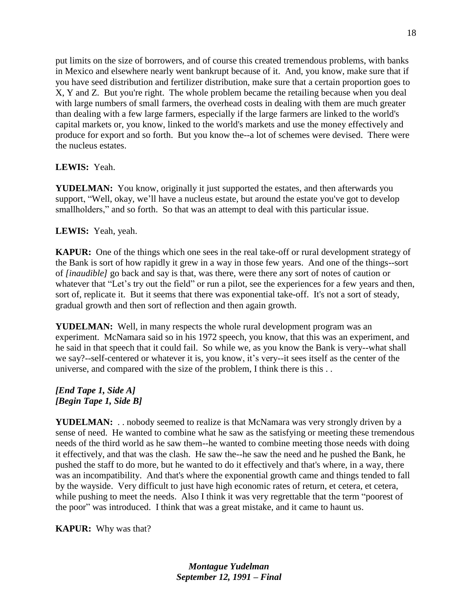put limits on the size of borrowers, and of course this created tremendous problems, with banks in Mexico and elsewhere nearly went bankrupt because of it. And, you know, make sure that if you have seed distribution and fertilizer distribution, make sure that a certain proportion goes to X, Y and Z. But you're right. The whole problem became the retailing because when you deal with large numbers of small farmers, the overhead costs in dealing with them are much greater than dealing with a few large farmers, especially if the large farmers are linked to the world's capital markets or, you know, linked to the world's markets and use the money effectively and produce for export and so forth. But you know the--a lot of schemes were devised. There were the nucleus estates.

#### **LEWIS:** Yeah.

**YUDELMAN:** You know, originally it just supported the estates, and then afterwards you support, "Well, okay, we'll have a nucleus estate, but around the estate you've got to develop smallholders," and so forth. So that was an attempt to deal with this particular issue.

## **LEWIS:** Yeah, yeah.

**KAPUR:** One of the things which one sees in the real take-off or rural development strategy of the Bank is sort of how rapidly it grew in a way in those few years. And one of the things--sort of *[inaudible]* go back and say is that, was there, were there any sort of notes of caution or whatever that "Let's try out the field" or run a pilot, see the experiences for a few years and then, sort of, replicate it. But it seems that there was exponential take-off. It's not a sort of steady, gradual growth and then sort of reflection and then again growth.

**YUDELMAN:** Well, in many respects the whole rural development program was an experiment. McNamara said so in his 1972 speech, you know, that this was an experiment, and he said in that speech that it could fail. So while we, as you know the Bank is very--what shall we say?--self-centered or whatever it is, you know, it's very--it sees itself as the center of the universe, and compared with the size of the problem, I think there is this . .

#### *[End Tape 1, Side A] [Begin Tape 1, Side B]*

**YUDELMAN:** . . nobody seemed to realize is that McNamara was very strongly driven by a sense of need. He wanted to combine what he saw as the satisfying or meeting these tremendous needs of the third world as he saw them--he wanted to combine meeting those needs with doing it effectively, and that was the clash. He saw the--he saw the need and he pushed the Bank, he pushed the staff to do more, but he wanted to do it effectively and that's where, in a way, there was an incompatibility. And that's where the exponential growth came and things tended to fall by the wayside. Very difficult to just have high economic rates of return, et cetera, et cetera, while pushing to meet the needs. Also I think it was very regrettable that the term "poorest of the poor" was introduced. I think that was a great mistake, and it came to haunt us.

**KAPUR:** Why was that?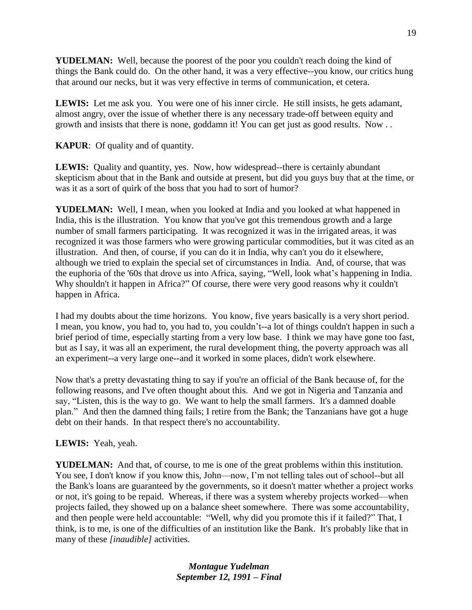**YUDELMAN:** Well, because the poorest of the poor you couldn't reach doing the kind of things the Bank could do. On the other hand, it was a very effective--you know, our critics hung that around our necks, but it was very effective in terms of communication, et cetera.

**LEWIS:** Let me ask you. You were one of his inner circle. He still insists, he gets adamant, almost angry, over the issue of whether there is any necessary trade-off between equity and growth and insists that there is none, goddamn it! You can get just as good results. Now . .

**KAPUR**: Of quality and of quantity.

**LEWIS:** Quality and quantity, yes. Now, how widespread--there is certainly abundant skepticism about that in the Bank and outside at present, but did you guys buy that at the time, or was it as a sort of quirk of the boss that you had to sort of humor?

**YUDELMAN:** Well, I mean, when you looked at India and you looked at what happened in India, this is the illustration. You know that you've got this tremendous growth and a large number of small farmers participating. It was recognized it was in the irrigated areas, it was recognized it was those farmers who were growing particular commodities, but it was cited as an illustration. And then, of course, if you can do it in India, why can't you do it elsewhere, although we tried to explain the special set of circumstances in India. And, of course, that was the euphoria of the '60s that drove us into Africa, saying, "Well, look what's happening in India. Why shouldn't it happen in Africa?" Of course, there were very good reasons why it couldn't happen in Africa.

I had my doubts about the time horizons. You know, five years basically is a very short period. I mean, you know, you had to, you had to, you couldn't--a lot of things couldn't happen in such a brief period of time, especially starting from a very low base. I think we may have gone too fast, but as I say, it was all an experiment, the rural development thing, the poverty approach was all an experiment--a very large one--and it worked in some places, didn't work elsewhere.

Now that's a pretty devastating thing to say if you're an official of the Bank because of, for the following reasons, and I've often thought about this. And we got in Nigeria and Tanzania and say, "Listen, this is the way to go. We want to help the small farmers. It's a damned doable plan." And then the damned thing fails; I retire from the Bank; the Tanzanians have got a huge debt on their hands. In that respect there's no accountability.

#### **LEWIS:** Yeah, yeah.

**YUDELMAN:** And that, of course, to me is one of the great problems within this institution. You see, I don't know if you know this, John—now, I'm not telling tales out of school--but all the Bank's loans are guaranteed by the governments, so it doesn't matter whether a project works or not, it's going to be repaid. Whereas, if there was a system whereby projects worked—when projects failed, they showed up on a balance sheet somewhere. There was some accountability, and then people were held accountable: "Well, why did you promote this if it failed?" That, I think, is to me, is one of the difficulties of an institution like the Bank. It's probably like that in many of these *[inaudible]* activities.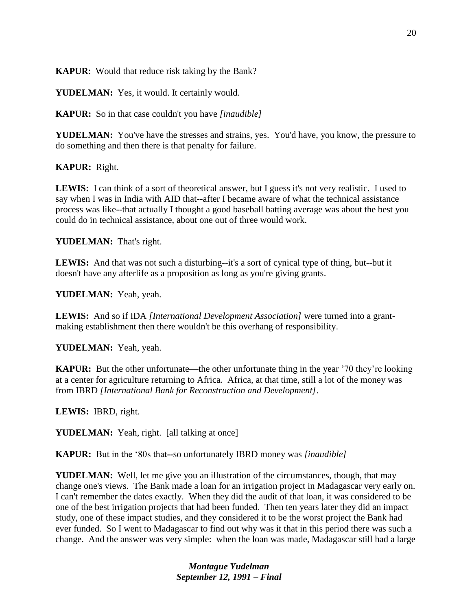**KAPUR**: Would that reduce risk taking by the Bank?

**YUDELMAN:** Yes, it would. It certainly would.

**KAPUR:** So in that case couldn't you have *[inaudible]*

**YUDELMAN:** You've have the stresses and strains, yes. You'd have, you know, the pressure to do something and then there is that penalty for failure.

**KAPUR:** Right.

LEWIS: I can think of a sort of theoretical answer, but I guess it's not very realistic. I used to say when I was in India with AID that--after I became aware of what the technical assistance process was like--that actually I thought a good baseball batting average was about the best you could do in technical assistance, about one out of three would work.

**YUDELMAN:** That's right.

LEWIS: And that was not such a disturbing--it's a sort of cynical type of thing, but--but it doesn't have any afterlife as a proposition as long as you're giving grants.

**YUDELMAN:** Yeah, yeah.

**LEWIS:** And so if IDA *[International Development Association]* were turned into a grantmaking establishment then there wouldn't be this overhang of responsibility.

**YUDELMAN:** Yeah, yeah.

**KAPUR:** But the other unfortunate—the other unfortunate thing in the year '70 they're looking at a center for agriculture returning to Africa. Africa, at that time, still a lot of the money was from IBRD *[International Bank for Reconstruction and Development]*.

**LEWIS:** IBRD, right.

**YUDELMAN:** Yeah, right. [all talking at once]

**KAPUR:** But in the '80s that**--**so unfortunately IBRD money was *[inaudible]*

**YUDELMAN:** Well, let me give you an illustration of the circumstances, though, that may change one's views. The Bank made a loan for an irrigation project in Madagascar very early on. I can't remember the dates exactly. When they did the audit of that loan, it was considered to be one of the best irrigation projects that had been funded. Then ten years later they did an impact study, one of these impact studies, and they considered it to be the worst project the Bank had ever funded. So I went to Madagascar to find out why was it that in this period there was such a change. And the answer was very simple: when the loan was made, Madagascar still had a large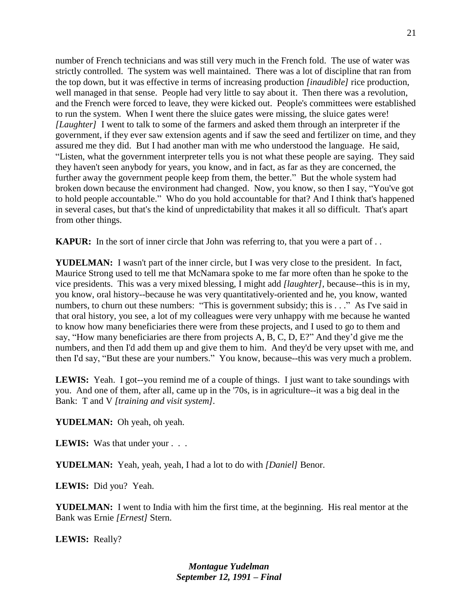number of French technicians and was still very much in the French fold. The use of water was strictly controlled. The system was well maintained. There was a lot of discipline that ran from the top down, but it was effective in terms of increasing production *[inaudible]* rice production, well managed in that sense. People had very little to say about it. Then there was a revolution, and the French were forced to leave, they were kicked out. People's committees were established to run the system. When I went there the sluice gates were missing, the sluice gates were! *[Laughter]* I went to talk to some of the farmers and asked them through an interpreter if the government, if they ever saw extension agents and if saw the seed and fertilizer on time, and they assured me they did. But I had another man with me who understood the language. He said, "Listen, what the government interpreter tells you is not what these people are saying. They said they haven't seen anybody for years, you know, and in fact, as far as they are concerned, the further away the government people keep from them, the better." But the whole system had broken down because the environment had changed. Now, you know, so then I say, "You've got to hold people accountable." Who do you hold accountable for that? And I think that's happened in several cases, but that's the kind of unpredictability that makes it all so difficult. That's apart from other things.

**KAPUR:** In the sort of inner circle that John was referring to, that you were a part of . .

**YUDELMAN:** I wasn't part of the inner circle, but I was very close to the president. In fact, Maurice Strong used to tell me that McNamara spoke to me far more often than he spoke to the vice presidents. This was a very mixed blessing, I might add *[laughter],* because--this is in my, you know, oral history--because he was very quantitatively-oriented and he, you know, wanted numbers, to churn out these numbers: "This is government subsidy; this is . . ." As I've said in that oral history, you see, a lot of my colleagues were very unhappy with me because he wanted to know how many beneficiaries there were from these projects, and I used to go to them and say, "How many beneficiaries are there from projects A, B, C, D, E?" And they'd give me the numbers, and then I'd add them up and give them to him. And they'd be very upset with me, and then I'd say, "But these are your numbers." You know, because--this was very much a problem.

LEWIS: Yeah. I got--you remind me of a couple of things. I just want to take soundings with you. And one of them, after all, came up in the '70s, is in agriculture--it was a big deal in the Bank: T and V *[training and visit system].*

**YUDELMAN:** Oh yeah, oh yeah.

**LEWIS:** Was that under your . . .

**YUDELMAN:** Yeah, yeah, yeah, I had a lot to do with *[Daniel]* Benor.

**LEWIS:** Did you? Yeah.

**YUDELMAN:** I went to India with him the first time, at the beginning. His real mentor at the Bank was Ernie *[Ernest]* Stern.

**LEWIS:** Really?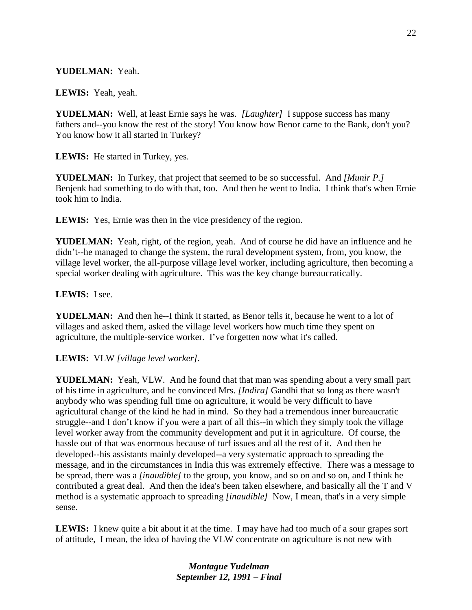## **YUDELMAN:** Yeah.

**LEWIS:** Yeah, yeah.

**YUDELMAN:** Well, at least Ernie says he was. *[Laughter]* I suppose success has many fathers and--you know the rest of the story! You know how Benor came to the Bank, don't you? You know how it all started in Turkey?

**LEWIS:** He started in Turkey, yes.

**YUDELMAN:** In Turkey, that project that seemed to be so successful. And *[Munir P.]*  Benjenk had something to do with that, too. And then he went to India. I think that's when Ernie took him to India.

**LEWIS:** Yes, Ernie was then in the vice presidency of the region.

**YUDELMAN:** Yeah, right, of the region, yeah. And of course he did have an influence and he didn't--he managed to change the system, the rural development system, from, you know, the village level worker, the all-purpose village level worker, including agriculture, then becoming a special worker dealing with agriculture. This was the key change bureaucratically.

#### **LEWIS:** I see.

**YUDELMAN:** And then he--I think it started, as Benor tells it, because he went to a lot of villages and asked them, asked the village level workers how much time they spent on agriculture, the multiple-service worker. I've forgetten now what it's called.

**LEWIS:** VLW *[village level worker].*

**YUDELMAN:** Yeah, VLW. And he found that that man was spending about a very small part of his time in agriculture, and he convinced Mrs. *[Indira]* Gandhi that so long as there wasn't anybody who was spending full time on agriculture, it would be very difficult to have agricultural change of the kind he had in mind. So they had a tremendous inner bureaucratic struggle--and I don't know if you were a part of all this--in which they simply took the village level worker away from the community development and put it in agriculture. Of course, the hassle out of that was enormous because of turf issues and all the rest of it. And then he developed--his assistants mainly developed--a very systematic approach to spreading the message, and in the circumstances in India this was extremely effective. There was a message to be spread, there was a *[inaudible]* to the group, you know, and so on and so on, and I think he contributed a great deal. And then the idea's been taken elsewhere, and basically all the T and V method is a systematic approach to spreading *[inaudible]* Now, I mean, that's in a very simple sense.

**LEWIS:** I knew quite a bit about it at the time. I may have had too much of a sour grapes sort of attitude, I mean, the idea of having the VLW concentrate on agriculture is not new with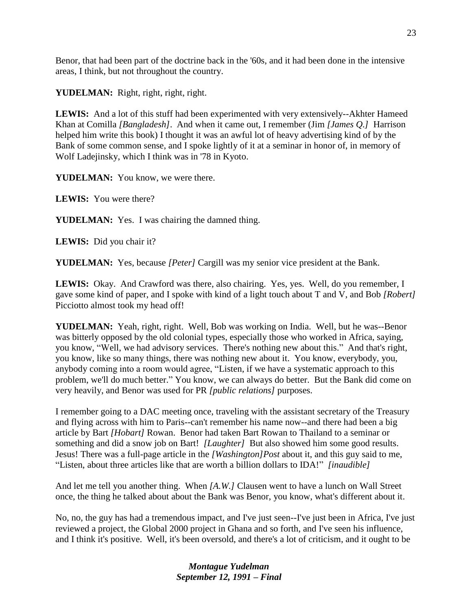Benor, that had been part of the doctrine back in the '60s, and it had been done in the intensive areas, I think, but not throughout the country.

**YUDELMAN:** Right, right, right, right.

**LEWIS:** And a lot of this stuff had been experimented with very extensively--Akhter Hameed Khan at Comilla *[Bangladesh]*. And when it came out, I remember (Jim *[James Q.]* Harrison helped him write this book) I thought it was an awful lot of heavy advertising kind of by the Bank of some common sense, and I spoke lightly of it at a seminar in honor of, in memory of Wolf Ladejinsky, which I think was in '78 in Kyoto.

YUDELMAN: You know, we were there.

**LEWIS:** You were there?

**YUDELMAN:** Yes. I was chairing the damned thing.

**LEWIS:** Did you chair it?

**YUDELMAN:** Yes, because *[Peter]* Cargill was my senior vice president at the Bank.

**LEWIS:** Okay. And Crawford was there, also chairing. Yes, yes. Well, do you remember, I gave some kind of paper, and I spoke with kind of a light touch about T and V, and Bob *[Robert]* Picciotto almost took my head off!

**YUDELMAN:** Yeah, right, right. Well, Bob was working on India. Well, but he was--Benor was bitterly opposed by the old colonial types, especially those who worked in Africa, saying, you know, "Well, we had advisory services. There's nothing new about this." And that's right, you know, like so many things, there was nothing new about it. You know, everybody, you, anybody coming into a room would agree, "Listen, if we have a systematic approach to this problem, we'll do much better." You know, we can always do better. But the Bank did come on very heavily, and Benor was used for PR *[public relations]* purposes.

I remember going to a DAC meeting once, traveling with the assistant secretary of the Treasury and flying across with him to Paris--can't remember his name now--and there had been a big article by Bart *[Hobart]* Rowan. Benor had taken Bart Rowan to Thailand to a seminar or something and did a snow job on Bart! *[Laughter]* But also showed him some good results. Jesus! There was a full-page article in the *[Washington]Post* about it, and this guy said to me, "Listen, about three articles like that are worth a billion dollars to IDA!" *[inaudible]*

And let me tell you another thing. When *[A.W.]* Clausen went to have a lunch on Wall Street once, the thing he talked about about the Bank was Benor, you know, what's different about it.

No, no, the guy has had a tremendous impact, and I've just seen--I've just been in Africa, I've just reviewed a project, the Global 2000 project in Ghana and so forth, and I've seen his influence, and I think it's positive. Well, it's been oversold, and there's a lot of criticism, and it ought to be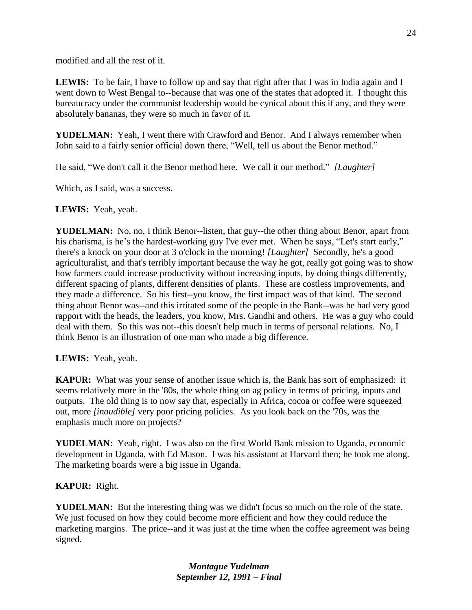modified and all the rest of it.

**LEWIS:** To be fair, I have to follow up and say that right after that I was in India again and I went down to West Bengal to--because that was one of the states that adopted it. I thought this bureaucracy under the communist leadership would be cynical about this if any, and they were absolutely bananas, they were so much in favor of it.

**YUDELMAN:** Yeah, I went there with Crawford and Benor. And I always remember when John said to a fairly senior official down there, "Well, tell us about the Benor method."

He said, "We don't call it the Benor method here. We call it our method." *[Laughter]*

Which, as I said, was a success.

**LEWIS:** Yeah, yeah.

**YUDELMAN:** No, no, I think Benor--listen, that guy--the other thing about Benor, apart from his charisma, is he's the hardest-working guy I've ever met. When he says, "Let's start early," there's a knock on your door at 3 o'clock in the morning! *[Laughter]* Secondly, he's a good agriculturalist, and that's terribly important because the way he got, really got going was to show how farmers could increase productivity without increasing inputs, by doing things differently, different spacing of plants, different densities of plants. These are costless improvements, and they made a difference. So his first--you know, the first impact was of that kind. The second thing about Benor was--and this irritated some of the people in the Bank--was he had very good rapport with the heads, the leaders, you know, Mrs. Gandhi and others. He was a guy who could deal with them. So this was not--this doesn't help much in terms of personal relations. No, I think Benor is an illustration of one man who made a big difference.

**LEWIS:** Yeah, yeah.

**KAPUR:** What was your sense of another issue which is, the Bank has sort of emphasized: it seems relatively more in the '80s, the whole thing on ag policy in terms of pricing, inputs and outputs. The old thing is to now say that, especially in Africa, cocoa or coffee were squeezed out, more *[inaudible]* very poor pricing policies. As you look back on the '70s, was the emphasis much more on projects?

**YUDELMAN:** Yeah, right. I was also on the first World Bank mission to Uganda, economic development in Uganda, with Ed Mason. I was his assistant at Harvard then; he took me along. The marketing boards were a big issue in Uganda.

# **KAPUR:** Right.

**YUDELMAN:** But the interesting thing was we didn't focus so much on the role of the state. We just focused on how they could become more efficient and how they could reduce the marketing margins. The price--and it was just at the time when the coffee agreement was being signed.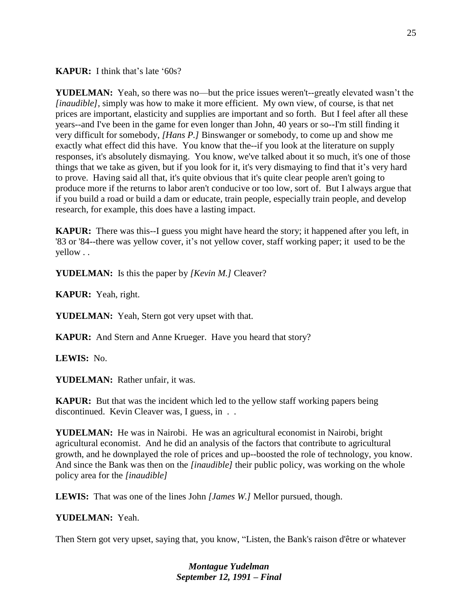**KAPUR:** I think that's late '60s?

**YUDELMAN:** Yeah, so there was no—but the price issues weren't--greatly elevated wasn't the *[inaudible]*, simply was how to make it more efficient. My own view, of course, is that net prices are important, elasticity and supplies are important and so forth. But I feel after all these years--and I've been in the game for even longer than John, 40 years or so--I'm still finding it very difficult for somebody, *[Hans P.]* Binswanger or somebody, to come up and show me exactly what effect did this have. You know that the--if you look at the literature on supply responses, it's absolutely dismaying. You know, we've talked about it so much, it's one of those things that we take as given, but if you look for it, it's very dismaying to find that it's very hard to prove. Having said all that, it's quite obvious that it's quite clear people aren't going to produce more if the returns to labor aren't conducive or too low, sort of. But I always argue that if you build a road or build a dam or educate, train people, especially train people, and develop research, for example, this does have a lasting impact.

**KAPUR:** There was this--I guess you might have heard the story; it happened after you left, in '83 or '84--there was yellow cover, it's not yellow cover, staff working paper; it used to be the yellow . .

**YUDELMAN:** Is this the paper by *[Kevin M.]* Cleaver?

**KAPUR:** Yeah, right.

**YUDELMAN:** Yeah, Stern got very upset with that.

**KAPUR:** And Stern and Anne Krueger. Have you heard that story?

**LEWIS:** No.

**YUDELMAN:** Rather unfair, it was.

**KAPUR:** But that was the incident which led to the yellow staff working papers being discontinued. Kevin Cleaver was, I guess, in . .

**YUDELMAN:** He was in Nairobi. He was an agricultural economist in Nairobi, bright agricultural economist. And he did an analysis of the factors that contribute to agricultural growth, and he downplayed the role of prices and up--boosted the role of technology, you know. And since the Bank was then on the *[inaudible]* their public policy, was working on the whole policy area for the *[inaudible]*

**LEWIS:** That was one of the lines John *[James W.]* Mellor pursued, though.

#### **YUDELMAN:** Yeah.

Then Stern got very upset, saying that, you know, "Listen, the Bank's raison d'être or whatever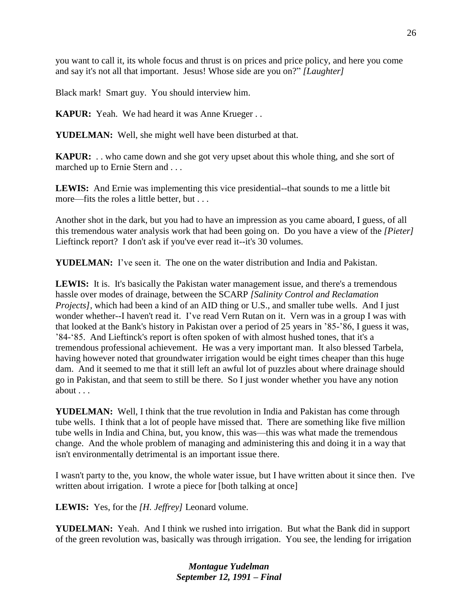you want to call it, its whole focus and thrust is on prices and price policy, and here you come and say it's not all that important. Jesus! Whose side are you on?" *[Laughter]*

Black mark! Smart guy. You should interview him.

**KAPUR:** Yeah. We had heard it was Anne Krueger . .

**YUDELMAN:** Well, she might well have been disturbed at that.

**KAPUR:** . . who came down and she got very upset about this whole thing, and she sort of marched up to Ernie Stern and . . .

**LEWIS:** And Ernie was implementing this vice presidential--that sounds to me a little bit more—fits the roles a little better, but . . .

Another shot in the dark, but you had to have an impression as you came aboard, I guess, of all this tremendous water analysis work that had been going on. Do you have a view of the *[Pieter]*  Lieftinck report? I don't ask if you've ever read it--it's 30 volumes.

**YUDELMAN:** I've seen it. The one on the water distribution and India and Pakistan.

**LEWIS:** It is. It's basically the Pakistan water management issue, and there's a tremendous hassle over modes of drainage, between the SCARP *[Salinity Control and Reclamation Projects]*, which had been a kind of an AID thing or U.S., and smaller tube wells. And I just wonder whether--I haven't read it. I've read Vern Rutan on it. Vern was in a group I was with that looked at the Bank's history in Pakistan over a period of 25 years in '85-'86, I guess it was, '84-'85. And Lieftinck's report is often spoken of with almost hushed tones, that it's a tremendous professional achievement. He was a very important man. It also blessed Tarbela, having however noted that groundwater irrigation would be eight times cheaper than this huge dam. And it seemed to me that it still left an awful lot of puzzles about where drainage should go in Pakistan, and that seem to still be there. So I just wonder whether you have any notion about . . .

**YUDELMAN:** Well, I think that the true revolution in India and Pakistan has come through tube wells. I think that a lot of people have missed that. There are something like five million tube wells in India and China, but, you know, this was—this was what made the tremendous change. And the whole problem of managing and administering this and doing it in a way that isn't environmentally detrimental is an important issue there.

I wasn't party to the, you know, the whole water issue, but I have written about it since then. I've written about irrigation. I wrote a piece for [both talking at once]

**LEWIS:** Yes, for the *[H. Jeffrey]* Leonard volume.

**YUDELMAN:** Yeah. And I think we rushed into irrigation. But what the Bank did in support of the green revolution was, basically was through irrigation. You see, the lending for irrigation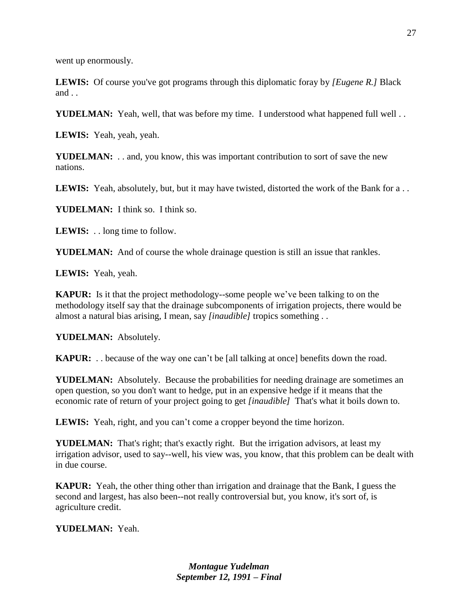went up enormously.

**LEWIS:** Of course you've got programs through this diplomatic foray by *[Eugene R.]* Black and . .

**YUDELMAN:** Yeah, well, that was before my time. I understood what happened full well ...

**LEWIS:** Yeah, yeah, yeah.

**YUDELMAN:** . . and, you know, this was important contribution to sort of save the new nations.

**LEWIS:** Yeah, absolutely, but, but it may have twisted, distorted the work of the Bank for a . .

**YUDELMAN:** I think so. I think so.

**LEWIS:** . . long time to follow.

**YUDELMAN:** And of course the whole drainage question is still an issue that rankles.

**LEWIS:** Yeah, yeah.

**KAPUR:** Is it that the project methodology--some people we've been talking to on the methodology itself say that the drainage subcomponents of irrigation projects, there would be almost a natural bias arising, I mean, say *[inaudible]* tropics something . .

**YUDELMAN:** Absolutely.

**KAPUR:** . . because of the way one can't be [all talking at once] benefits down the road.

**YUDELMAN:** Absolutely. Because the probabilities for needing drainage are sometimes an open question, so you don't want to hedge, put in an expensive hedge if it means that the economic rate of return of your project going to get *[inaudible]* That's what it boils down to.

**LEWIS:** Yeah, right, and you can't come a cropper beyond the time horizon.

**YUDELMAN:** That's right; that's exactly right. But the irrigation advisors, at least my irrigation advisor, used to say--well, his view was, you know, that this problem can be dealt with in due course.

**KAPUR:** Yeah, the other thing other than irrigation and drainage that the Bank, I guess the second and largest, has also been--not really controversial but, you know, it's sort of, is agriculture credit.

**YUDELMAN:** Yeah.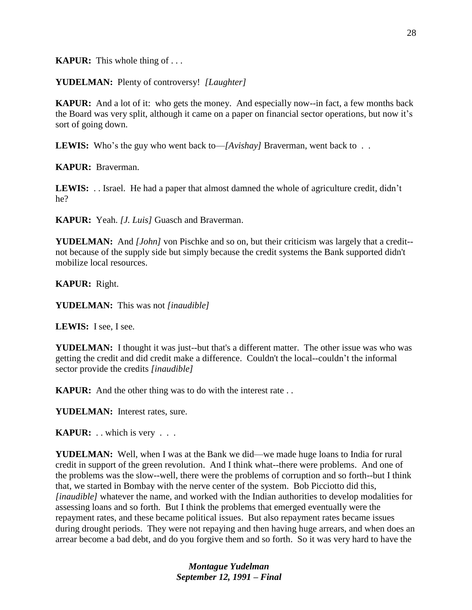**KAPUR:** This whole thing of . . .

**YUDELMAN:** Plenty of controversy! *[Laughter]*

**KAPUR:** And a lot of it: who gets the money. And especially now--in fact, a few months back the Board was very split, although it came on a paper on financial sector operations, but now it's sort of going down.

**LEWIS:** Who's the guy who went back to—*[Avishay]* Braverman, went back to . .

**KAPUR:** Braverman.

**LEWIS:** . . Israel. He had a paper that almost damned the whole of agriculture credit, didn't he?

**KAPUR:** Yeah. *[J. Luis]* Guasch and Braverman.

**YUDELMAN:** And *[John]* von Pischke and so on, but their criticism was largely that a credit- not because of the supply side but simply because the credit systems the Bank supported didn't mobilize local resources.

**KAPUR:** Right.

**YUDELMAN:** This was not *[inaudible]*

**LEWIS:** I see, I see.

**YUDELMAN:** I thought it was just--but that's a different matter. The other issue was who was getting the credit and did credit make a difference. Couldn't the local--couldn't the informal sector provide the credits *[inaudible]*

**KAPUR:** And the other thing was to do with the interest rate . .

**YUDELMAN:** Interest rates, sure.

**KAPUR:** . . which is very . . .

**YUDELMAN:** Well, when I was at the Bank we did—we made huge loans to India for rural credit in support of the green revolution. And I think what--there were problems. And one of the problems was the slow--well, there were the problems of corruption and so forth--but I think that, we started in Bombay with the nerve center of the system. Bob Picciotto did this, *[inaudible]* whatever the name, and worked with the Indian authorities to develop modalities for assessing loans and so forth. But I think the problems that emerged eventually were the repayment rates, and these became political issues. But also repayment rates became issues during drought periods. They were not repaying and then having huge arrears, and when does an arrear become a bad debt, and do you forgive them and so forth. So it was very hard to have the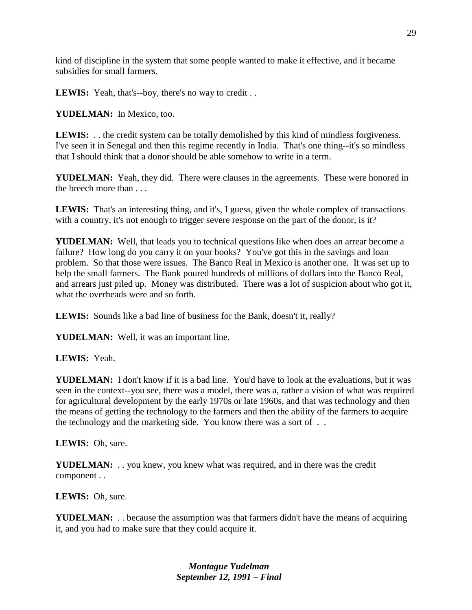kind of discipline in the system that some people wanted to make it effective, and it became subsidies for small farmers.

LEWIS: Yeah, that's--boy, there's no way to credit . .

YUDELMAN: In Mexico, too.

**LEWIS:** . . the credit system can be totally demolished by this kind of mindless forgiveness. I've seen it in Senegal and then this regime recently in India. That's one thing--it's so mindless that I should think that a donor should be able somehow to write in a term.

**YUDELMAN:** Yeah, they did. There were clauses in the agreements. These were honored in the breech more than . . .

**LEWIS:** That's an interesting thing, and it's, I guess, given the whole complex of transactions with a country, it's not enough to trigger severe response on the part of the donor, is it?

**YUDELMAN:** Well, that leads you to technical questions like when does an arrear become a failure? How long do you carry it on your books? You've got this in the savings and loan problem. So that those were issues. The Banco Real in Mexico is another one. It was set up to help the small farmers. The Bank poured hundreds of millions of dollars into the Banco Real, and arrears just piled up. Money was distributed. There was a lot of suspicion about who got it, what the overheads were and so forth.

LEWIS: Sounds like a bad line of business for the Bank, doesn't it, really?

**YUDELMAN:** Well, it was an important line.

**LEWIS:** Yeah.

**YUDELMAN:** I don't know if it is a bad line. You'd have to look at the evaluations, but it was seen in the context--you see, there was a model, there was a, rather a vision of what was required for agricultural development by the early 1970s or late 1960s, and that was technology and then the means of getting the technology to the farmers and then the ability of the farmers to acquire the technology and the marketing side. You know there was a sort of . .

**LEWIS:** Oh, sure.

**YUDELMAN:** . . you knew, you knew what was required, and in there was the credit component . .

**LEWIS:** Oh, sure.

**YUDELMAN:** . . because the assumption was that farmers didn't have the means of acquiring it, and you had to make sure that they could acquire it.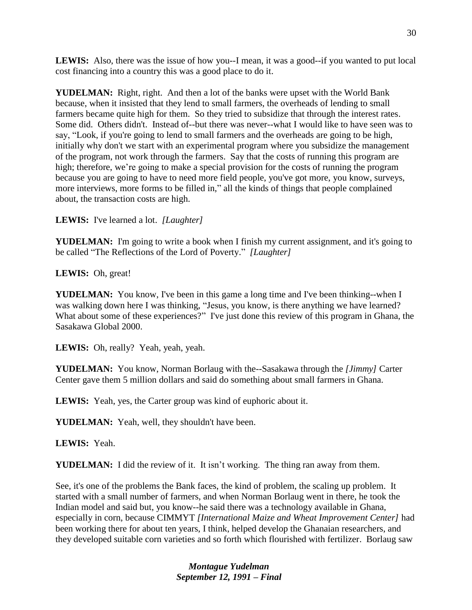**LEWIS:** Also, there was the issue of how you--I mean, it was a good--if you wanted to put local cost financing into a country this was a good place to do it.

**YUDELMAN:** Right, right. And then a lot of the banks were upset with the World Bank because, when it insisted that they lend to small farmers, the overheads of lending to small farmers became quite high for them. So they tried to subsidize that through the interest rates. Some did. Others didn't. Instead of--but there was never--what I would like to have seen was to say, "Look, if you're going to lend to small farmers and the overheads are going to be high, initially why don't we start with an experimental program where you subsidize the management of the program, not work through the farmers. Say that the costs of running this program are high; therefore, we're going to make a special provision for the costs of running the program because you are going to have to need more field people, you've got more, you know, surveys, more interviews, more forms to be filled in," all the kinds of things that people complained about, the transaction costs are high.

**LEWIS:** I've learned a lot. *[Laughter]*

**YUDELMAN:** I'm going to write a book when I finish my current assignment, and it's going to be called "The Reflections of the Lord of Poverty." *[Laughter]*

**LEWIS:** Oh, great!

**YUDELMAN:** You know, I've been in this game a long time and I've been thinking--when I was walking down here I was thinking, "Jesus, you know, is there anything we have learned? What about some of these experiences?" I've just done this review of this program in Ghana, the Sasakawa Global 2000.

LEWIS: Oh, really? Yeah, yeah, yeah.

**YUDELMAN:** You know, Norman Borlaug with the--Sasakawa through the *[Jimmy]* Carter Center gave them 5 million dollars and said do something about small farmers in Ghana.

**LEWIS:** Yeah, yes, the Carter group was kind of euphoric about it.

**YUDELMAN:** Yeah, well, they shouldn't have been.

**LEWIS:** Yeah.

**YUDELMAN:** I did the review of it. It isn't working. The thing ran away from them.

See, it's one of the problems the Bank faces, the kind of problem, the scaling up problem. It started with a small number of farmers, and when Norman Borlaug went in there, he took the Indian model and said but, you know--he said there was a technology available in Ghana, especially in corn, because CIMMYT *[International Maize and Wheat Improvement Center]* had been working there for about ten years, I think, helped develop the Ghanaian researchers, and they developed suitable corn varieties and so forth which flourished with fertilizer. Borlaug saw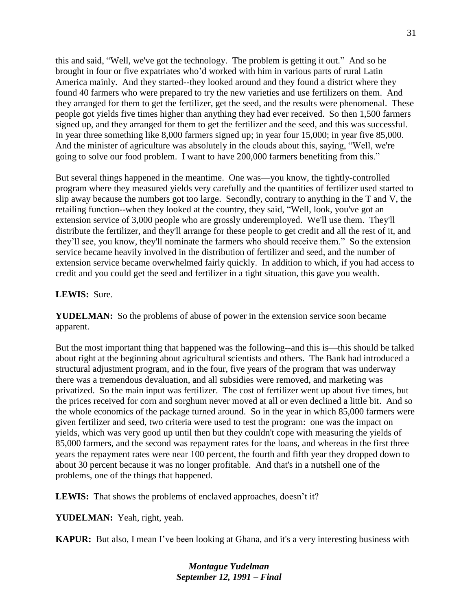this and said, "Well, we've got the technology. The problem is getting it out." And so he brought in four or five expatriates who'd worked with him in various parts of rural Latin America mainly. And they started--they looked around and they found a district where they found 40 farmers who were prepared to try the new varieties and use fertilizers on them. And they arranged for them to get the fertilizer, get the seed, and the results were phenomenal. These people got yields five times higher than anything they had ever received. So then 1,500 farmers signed up, and they arranged for them to get the fertilizer and the seed, and this was successful. In year three something like 8,000 farmers signed up; in year four 15,000; in year five 85,000. And the minister of agriculture was absolutely in the clouds about this, saying, "Well, we're going to solve our food problem. I want to have 200,000 farmers benefiting from this."

But several things happened in the meantime. One was—you know, the tightly-controlled program where they measured yields very carefully and the quantities of fertilizer used started to slip away because the numbers got too large. Secondly, contrary to anything in the T and V, the retailing function--when they looked at the country, they said, "Well, look, you've got an extension service of 3,000 people who are grossly underemployed. We'll use them. They'll distribute the fertilizer, and they'll arrange for these people to get credit and all the rest of it, and they'll see, you know, they'll nominate the farmers who should receive them." So the extension service became heavily involved in the distribution of fertilizer and seed, and the number of extension service became overwhelmed fairly quickly. In addition to which, if you had access to credit and you could get the seed and fertilizer in a tight situation, this gave you wealth.

#### **LEWIS:** Sure.

**YUDELMAN:** So the problems of abuse of power in the extension service soon became apparent.

But the most important thing that happened was the following--and this is—this should be talked about right at the beginning about agricultural scientists and others. The Bank had introduced a structural adjustment program, and in the four, five years of the program that was underway there was a tremendous devaluation, and all subsidies were removed, and marketing was privatized. So the main input was fertilizer. The cost of fertilizer went up about five times, but the prices received for corn and sorghum never moved at all or even declined a little bit. And so the whole economics of the package turned around. So in the year in which 85,000 farmers were given fertilizer and seed, two criteria were used to test the program: one was the impact on yields, which was very good up until then but they couldn't cope with measuring the yields of 85,000 farmers, and the second was repayment rates for the loans, and whereas in the first three years the repayment rates were near 100 percent, the fourth and fifth year they dropped down to about 30 percent because it was no longer profitable. And that's in a nutshell one of the problems, one of the things that happened.

**LEWIS:** That shows the problems of enclaved approaches, doesn't it?

**YUDELMAN:** Yeah, right, yeah.

**KAPUR:** But also, I mean I've been looking at Ghana, and it's a very interesting business with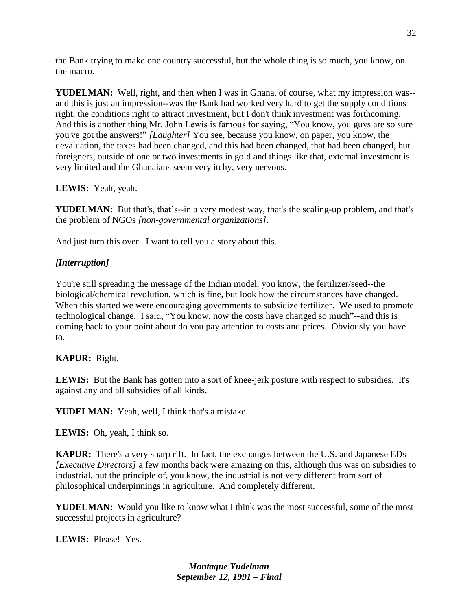the Bank trying to make one country successful, but the whole thing is so much, you know, on the macro.

**YUDELMAN:** Well, right, and then when I was in Ghana, of course, what my impression was- and this is just an impression--was the Bank had worked very hard to get the supply conditions right, the conditions right to attract investment, but I don't think investment was forthcoming. And this is another thing Mr. John Lewis is famous for saying, "You know, you guys are so sure you've got the answers!" *[Laughter]* You see, because you know, on paper, you know, the devaluation, the taxes had been changed, and this had been changed, that had been changed, but foreigners, outside of one or two investments in gold and things like that, external investment is very limited and the Ghanaians seem very itchy, very nervous.

# **LEWIS:** Yeah, yeah.

**YUDELMAN:** But that's, that's--in a very modest way, that's the scaling-up problem, and that's the problem of NGOs *[non-governmental organizations]*.

And just turn this over. I want to tell you a story about this.

# *[Interruption]*

You're still spreading the message of the Indian model, you know, the fertilizer/seed--the biological/chemical revolution, which is fine, but look how the circumstances have changed. When this started we were encouraging governments to subsidize fertilizer. We used to promote technological change. I said, "You know, now the costs have changed so much"--and this is coming back to your point about do you pay attention to costs and prices. Obviously you have to.

# **KAPUR:** Right.

LEWIS: But the Bank has gotten into a sort of knee-jerk posture with respect to subsidies. It's against any and all subsidies of all kinds.

**YUDELMAN:** Yeah, well, I think that's a mistake.

**LEWIS:** Oh, yeah, I think so.

**KAPUR:** There's a very sharp rift. In fact, the exchanges between the U.S. and Japanese EDs *[Executive Directors]* a few months back were amazing on this, although this was on subsidies to industrial, but the principle of, you know, the industrial is not very different from sort of philosophical underpinnings in agriculture. And completely different.

**YUDELMAN:** Would you like to know what I think was the most successful, some of the most successful projects in agriculture?

**LEWIS:** Please! Yes.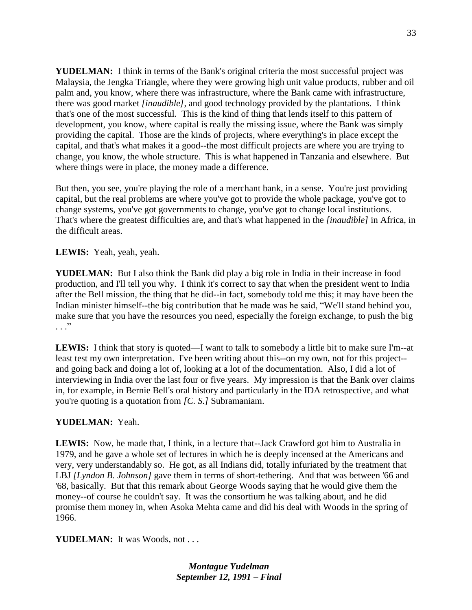**YUDELMAN:** I think in terms of the Bank's original criteria the most successful project was Malaysia, the Jengka Triangle, where they were growing high unit value products, rubber and oil palm and, you know, where there was infrastructure, where the Bank came with infrastructure, there was good market *[inaudible]*, and good technology provided by the plantations. I think that's one of the most successful. This is the kind of thing that lends itself to this pattern of development, you know, where capital is really the missing issue, where the Bank was simply providing the capital. Those are the kinds of projects, where everything's in place except the capital, and that's what makes it a good--the most difficult projects are where you are trying to change, you know, the whole structure. This is what happened in Tanzania and elsewhere. But where things were in place, the money made a difference.

But then, you see, you're playing the role of a merchant bank, in a sense. You're just providing capital, but the real problems are where you've got to provide the whole package, you've got to change systems, you've got governments to change, you've got to change local institutions. That's where the greatest difficulties are, and that's what happened in the *[inaudible]* in Africa, in the difficult areas.

#### **LEWIS:** Yeah, yeah, yeah.

**YUDELMAN:** But I also think the Bank did play a big role in India in their increase in food production, and I'll tell you why. I think it's correct to say that when the president went to India after the Bell mission, the thing that he did--in fact, somebody told me this; it may have been the Indian minister himself--the big contribution that he made was he said, "We'll stand behind you, make sure that you have the resources you need, especially the foreign exchange, to push the big  $\cdot$  . . .  $\cdot$ 

**LEWIS:** I think that story is quoted—I want to talk to somebody a little bit to make sure I'm--at least test my own interpretation. I've been writing about this--on my own, not for this project- and going back and doing a lot of, looking at a lot of the documentation. Also, I did a lot of interviewing in India over the last four or five years. My impression is that the Bank over claims in, for example, in Bernie Bell's oral history and particularly in the IDA retrospective, and what you're quoting is a quotation from *[C. S.]* Subramaniam.

#### **YUDELMAN:** Yeah.

**LEWIS:** Now, he made that, I think, in a lecture that--Jack Crawford got him to Australia in 1979, and he gave a whole set of lectures in which he is deeply incensed at the Americans and very, very understandably so. He got, as all Indians did, totally infuriated by the treatment that LBJ *[Lyndon B. Johnson]* gave them in terms of short-tethering. And that was between '66 and '68, basically. But that this remark about George Woods saying that he would give them the money--of course he couldn't say. It was the consortium he was talking about, and he did promise them money in, when Asoka Mehta came and did his deal with Woods in the spring of 1966.

YUDELMAN: It was Woods, not . . .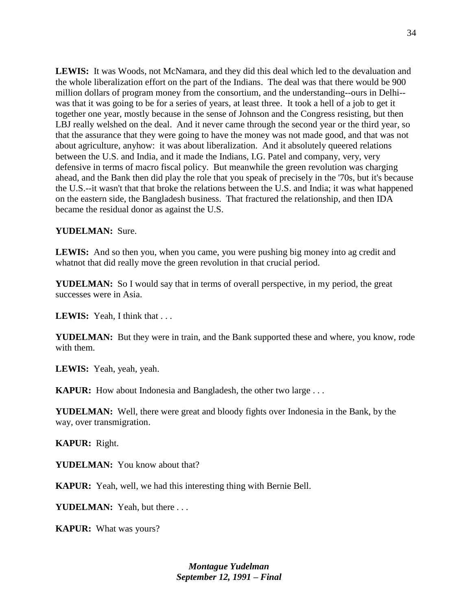LEWIS: It was Woods, not McNamara, and they did this deal which led to the devaluation and the whole liberalization effort on the part of the Indians. The deal was that there would be 900 million dollars of program money from the consortium, and the understanding--ours in Delhi- was that it was going to be for a series of years, at least three. It took a hell of a job to get it together one year, mostly because in the sense of Johnson and the Congress resisting, but then LBJ really welshed on the deal. And it never came through the second year or the third year, so that the assurance that they were going to have the money was not made good, and that was not about agriculture, anyhow: it was about liberalization. And it absolutely queered relations between the U.S. and India, and it made the Indians, I.G. Patel and company, very, very defensive in terms of macro fiscal policy. But meanwhile the green revolution was charging ahead, and the Bank then did play the role that you speak of precisely in the '70s, but it's because the U.S.--it wasn't that that broke the relations between the U.S. and India; it was what happened on the eastern side, the Bangladesh business. That fractured the relationship, and then IDA became the residual donor as against the U.S.

#### **YUDELMAN:** Sure.

LEWIS: And so then you, when you came, you were pushing big money into ag credit and whatnot that did really move the green revolution in that crucial period.

**YUDELMAN:** So I would say that in terms of overall perspective, in my period, the great successes were in Asia.

**LEWIS:** Yeah, I think that . . .

**YUDELMAN:** But they were in train, and the Bank supported these and where, you know, rode with them.

**LEWIS:** Yeah, yeah, yeah.

**KAPUR:** How about Indonesia and Bangladesh, the other two large . . .

**YUDELMAN:** Well, there were great and bloody fights over Indonesia in the Bank, by the way, over transmigration.

**KAPUR:** Right.

**YUDELMAN:** You know about that?

**KAPUR:** Yeah, well, we had this interesting thing with Bernie Bell.

**YUDELMAN:** Yeah, but there . . .

**KAPUR:** What was yours?